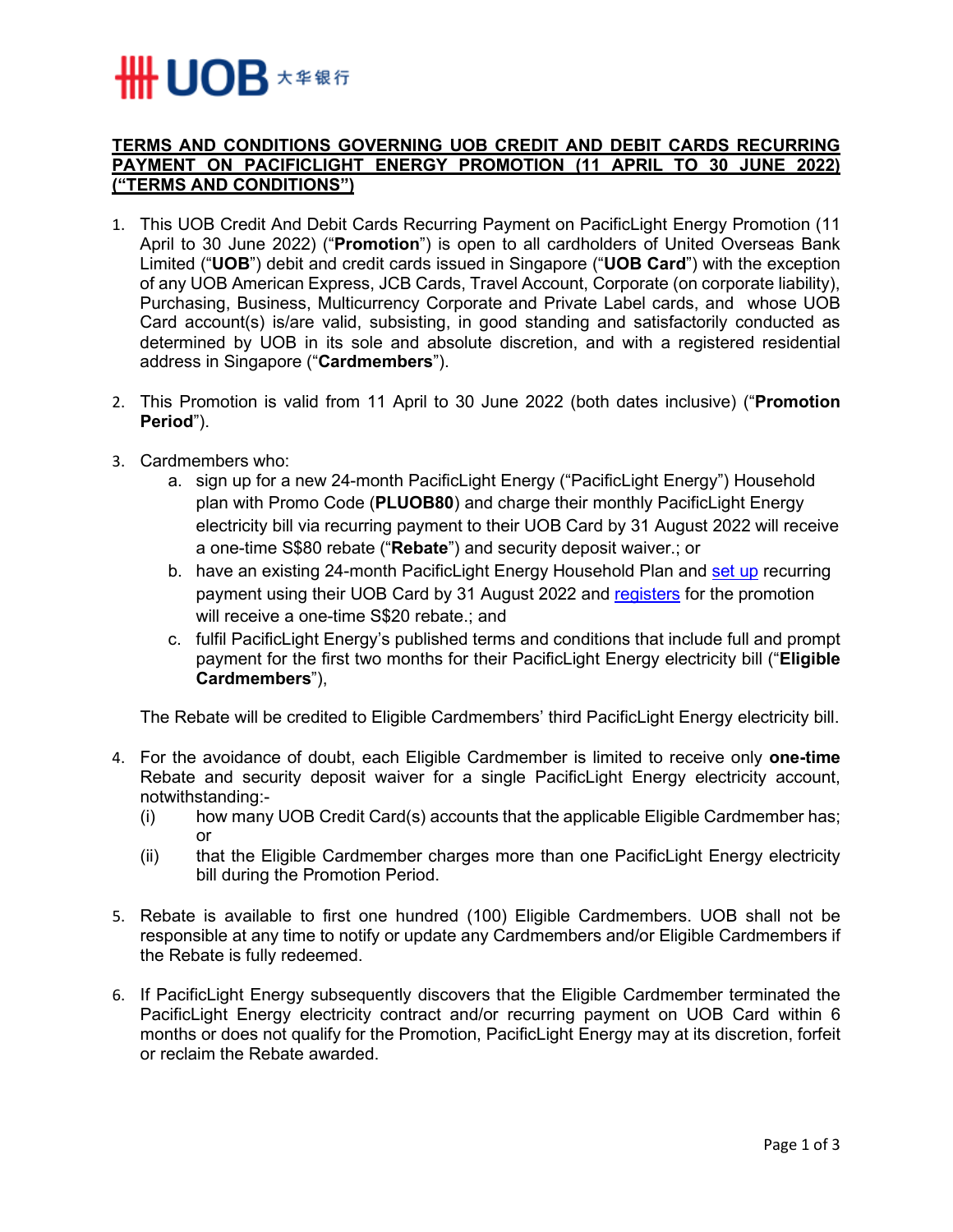## **₩ UOB** ★≇��

## **TERMS AND CONDITIONS GOVERNING UOB CREDIT AND DEBIT CARDS RECURRING PAYMENT ON PACIFICLIGHT ENERGY PROMOTION (11 APRIL TO 30 JUNE 2022) ("TERMS AND CONDITIONS")**

- 1. This UOB Credit And Debit Cards Recurring Payment on PacificLight Energy Promotion (11 April to 30 June 2022) ("**Promotion**") is open to all cardholders of United Overseas Bank Limited ("**UOB**") debit and credit cards issued in Singapore ("**UOB Card**") with the exception of any UOB American Express, JCB Cards, Travel Account, Corporate (on corporate liability), Purchasing, Business, Multicurrency Corporate and Private Label cards, and whose UOB Card account(s) is/are valid, subsisting, in good standing and satisfactorily conducted as determined by UOB in its sole and absolute discretion, and with a registered residential address in Singapore ("**Cardmembers**").
- 2. This Promotion is valid from 11 April to 30 June 2022 (both dates inclusive) ("**Promotion Period**").
- 3. Cardmembers who:
	- a. sign up for a new 24-month PacificLight Energy ("PacificLight Energy") Household plan with Promo Code (**PLUOB80**) and charge their monthly PacificLight Energy electricity bill via recurring payment to their UOB Card by 31 August 2022 will receive a one-time S\$80 rebate ("**Rebate**") and security deposit waiver.; or
	- b. have an existing 24-month PacificLight Energy Household Plan and [set](https://pacificlight.com.sg/setup-card/) up recurring payment using their UOB Card by 31 August 2022 and [registers](https://pacificlight.com.sg/promotions/UOB-form) for the promotion will receive a one-time S\$20 rebate.; and
	- c. fulfil PacificLight Energy's published terms and conditions that include full and prompt payment for the first two months for their PacificLight Energy electricity bill ("**Eligible Cardmembers**"),

The Rebate will be credited to Eligible Cardmembers' third PacificLight Energy electricity bill.

- 4. For the avoidance of doubt, each Eligible Cardmember is limited to receive only **one-time** Rebate and security deposit waiver for a single PacificLight Energy electricity account, notwithstanding:-
	- (i) how many UOB Credit Card(s) accounts that the applicable Eligible Cardmember has; or
	- (ii) that the Eligible Cardmember charges more than one PacificLight Energy electricity bill during the Promotion Period.
- 5. Rebate is available to first one hundred (100) Eligible Cardmembers. UOB shall not be responsible at any time to notify or update any Cardmembers and/or Eligible Cardmembers if the Rebate is fully redeemed.
- 6. If PacificLight Energy subsequently discovers that the Eligible Cardmember terminated the PacificLight Energy electricity contract and/or recurring payment on UOB Card within 6 months or does not qualify for the Promotion, PacificLight Energy may at its discretion, forfeit or reclaim the Rebate awarded.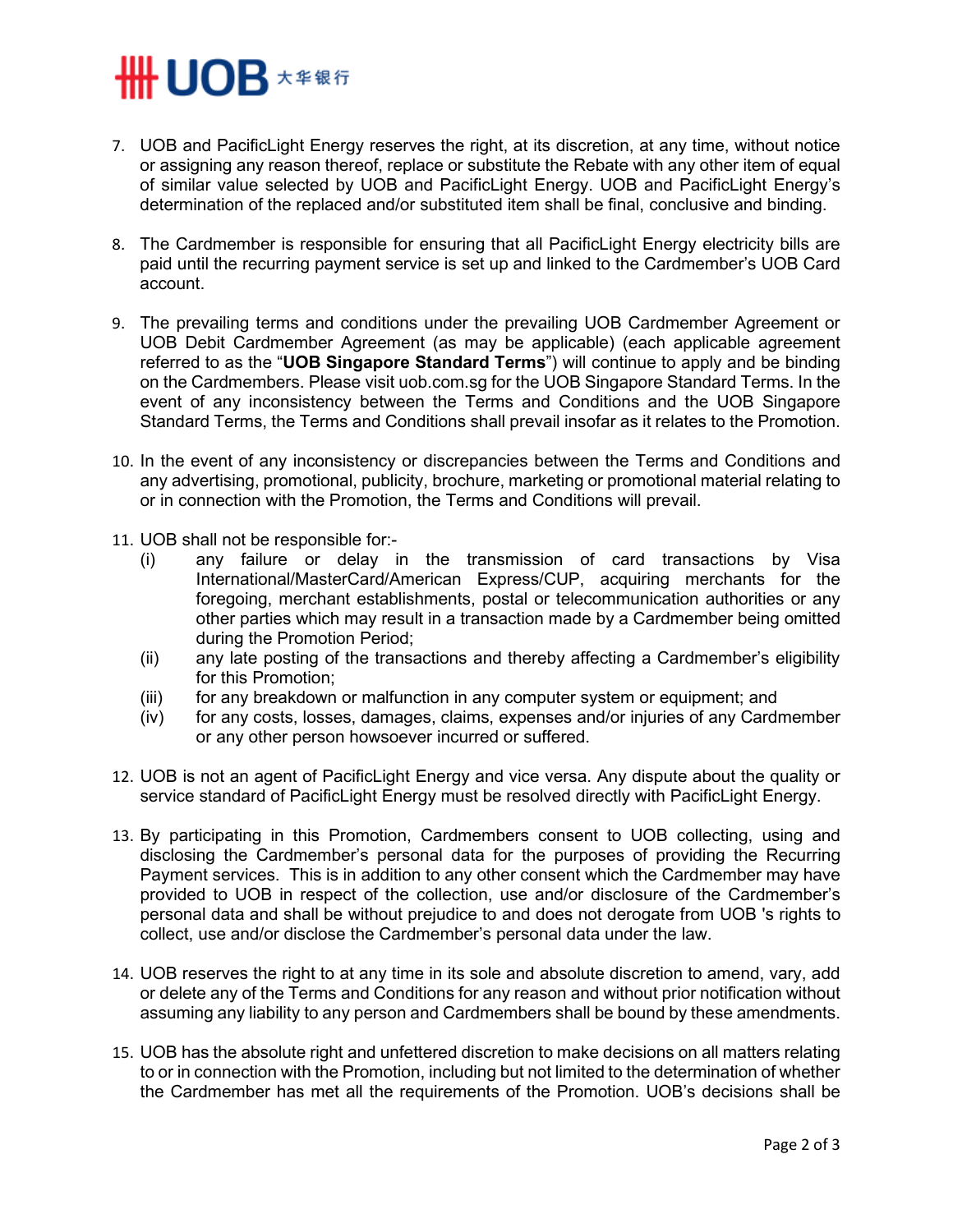## **SHINDB** ★ ≇ ® 行

- 7. UOB and PacificLight Energy reserves the right, at its discretion, at any time, without notice or assigning any reason thereof, replace or substitute the Rebate with any other item of equal of similar value selected by UOB and PacificLight Energy. UOB and PacificLight Energy's determination of the replaced and/or substituted item shall be final, conclusive and binding.
- 8. The Cardmember is responsible for ensuring that all PacificLight Energy electricity bills are paid until the recurring payment service is set up and linked to the Cardmember's UOB Card account.
- 9. The prevailing terms and conditions under the prevailing UOB Cardmember Agreement or UOB Debit Cardmember Agreement (as may be applicable) (each applicable agreement referred to as the "**UOB Singapore Standard Terms**") will continue to apply and be binding on the Cardmembers. Please visit uob.com.sg for the UOB Singapore Standard Terms. In the event of any inconsistency between the Terms and Conditions and the UOB Singapore Standard Terms, the Terms and Conditions shall prevail insofar as it relates to the Promotion.
- 10. In the event of any inconsistency or discrepancies between the Terms and Conditions and any advertising, promotional, publicity, brochure, marketing or promotional material relating to or in connection with the Promotion, the Terms and Conditions will prevail.
- 11. UOB shall not be responsible for:-
	- (i) any failure or delay in the transmission of card transactions by Visa International/MasterCard/American Express/CUP, acquiring merchants for the foregoing, merchant establishments, postal or telecommunication authorities or any other parties which may result in a transaction made by a Cardmember being omitted during the Promotion Period;
	- (ii) any late posting of the transactions and thereby affecting a Cardmember's eligibility for this Promotion;
	- (iii) for any breakdown or malfunction in any computer system or equipment; and
	- (iv) for any costs, losses, damages, claims, expenses and/or injuries of any Cardmember or any other person howsoever incurred or suffered.
- 12. UOB is not an agent of PacificLight Energy and vice versa. Any dispute about the quality or service standard of PacificLight Energy must be resolved directly with PacificLight Energy.
- 13. By participating in this Promotion, Cardmembers consent to UOB collecting, using and disclosing the Cardmember's personal data for the purposes of providing the Recurring Payment services. This is in addition to any other consent which the Cardmember may have provided to UOB in respect of the collection, use and/or disclosure of the Cardmember's personal data and shall be without prejudice to and does not derogate from UOB 's rights to collect, use and/or disclose the Cardmember's personal data under the law.
- 14. UOB reserves the right to at any time in its sole and absolute discretion to amend, vary, add or delete any of the Terms and Conditions for any reason and without prior notification without assuming any liability to any person and Cardmembers shall be bound by these amendments.
- 15. UOB has the absolute right and unfettered discretion to make decisions on all matters relating to or in connection with the Promotion, including but not limited to the determination of whether the Cardmember has met all the requirements of the Promotion. UOB's decisions shall be